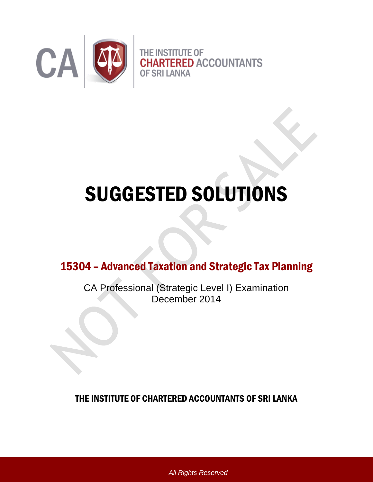

# SUGGESTED SOLUTIONS

15304 – Advanced Taxation and Strategic Tax Planning

CA Professional (Strategic Level I) Examination December 2014

THE INSTITUTE OF CHARTERED ACCOUNTANTS OF SRI LANKA

*All Rights Reserved*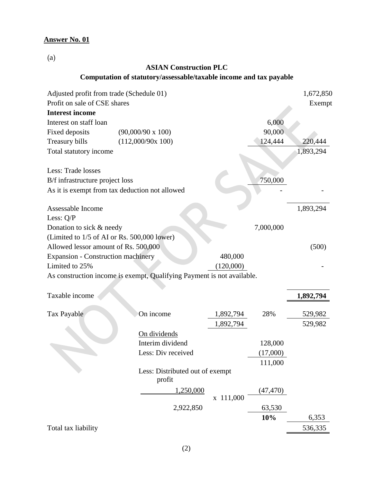(a)

# **ASIAN Construction PLC**

# **Computation of statutory/assessable/taxable income and tax payable**

| Adjusted profit from trade (Schedule 01)  |                                                                        |           |           | 1,672,850 |
|-------------------------------------------|------------------------------------------------------------------------|-----------|-----------|-----------|
| Profit on sale of CSE shares              |                                                                        |           |           | Exempt    |
| <b>Interest income</b>                    |                                                                        |           |           |           |
| Interest on staff loan                    |                                                                        |           | 6,000     |           |
| Fixed deposits                            | $(90,000/90 \times 100)$                                               |           | 90,000    |           |
| Treasury bills                            | (112,000/90x 100)                                                      |           | 124,444   | 220,444   |
| Total statutory income                    |                                                                        |           |           | 1,893,294 |
| Less: Trade losses                        |                                                                        |           |           |           |
| B/f infrastructure project loss           |                                                                        |           | 750,000   |           |
|                                           | As it is exempt from tax deduction not allowed                         |           |           |           |
| Assessable Income                         |                                                                        |           |           | 1,893,294 |
| Less: Q/P                                 |                                                                        |           |           |           |
| Donation to sick & needy                  |                                                                        |           | 7,000,000 |           |
|                                           | (Limited to 1/5 of AI or Rs. 500,000 lower)                            |           |           |           |
| Allowed lessor amount of Rs. 500,000      |                                                                        |           |           | (500)     |
| <b>Expansion - Construction machinery</b> |                                                                        | 480,000   |           |           |
| Limited to 25%                            |                                                                        | (120,000) |           |           |
|                                           | As construction income is exempt, Qualifying Payment is not available. |           |           |           |
| Taxable income                            |                                                                        |           |           | 1,892,794 |
| Tax Payable                               | On income                                                              | 1,892,794 | 28%       | 529,982   |
|                                           |                                                                        | 1,892,794 |           | 529,982   |
|                                           | On dividends                                                           |           |           |           |
|                                           | Interim dividend                                                       |           | 128,000   |           |
|                                           | Less: Div received                                                     |           | (17,000)  |           |
|                                           |                                                                        |           | 111,000   |           |
|                                           | Less: Distributed out of exempt<br>profit                              |           |           |           |
|                                           | 1,250,000                                                              |           | (47,470)  |           |
|                                           |                                                                        | x 111,000 |           |           |
|                                           | 2,922,850                                                              |           | 63,530    |           |
|                                           |                                                                        |           | 10%       | 6,353     |
| Total tax liability                       |                                                                        |           |           | 536,335   |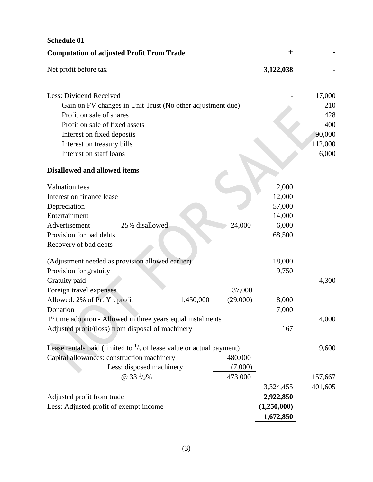| <b>Computation of adjusted Profit From Trade</b><br>$^{+}$<br>Net profit before tax<br>3,122,038<br>Less: Dividend Received<br>17,000<br>Gain on FV changes in Unit Trust (No other adjustment due)<br>210<br>Profit on sale of shares<br>428<br>Profit on sale of fixed assets<br>400<br>90,000<br>Interest on fixed deposits<br>112,000<br>Interest on treasury bills<br>6,000<br>Interest on staff loans<br><b>Disallowed and allowed items</b><br><b>Valuation</b> fees<br>2,000<br>Interest on finance lease<br>12,000<br>Depreciation<br>57,000<br>Entertainment<br>14,000<br>24,000<br>6,000<br>Advertisement<br>25% disallowed<br>Provision for bad debts<br>68,500<br>Recovery of bad debts<br>(Adjustment needed as provision allowed earlier)<br>18,000<br>Provision for gratuity<br>9,750<br>Gratuity paid<br>4,300<br>Foreign travel expenses<br>37,000<br>Allowed: 2% of Pr. Yr. profit<br>1,450,000<br>(29,000)<br>8,000<br>7,000<br>Donation<br>1 <sup>st</sup> time adoption - Allowed in three years equal instalments<br>4,000<br>Adjusted profit/(loss) from disposal of machinery<br>167<br>Lease rentals paid (limited to $\frac{1}{5}$ of lease value or actual payment)<br>9,600<br>Capital allowances: construction machinery<br>480,000<br>Less: disposed machinery<br>(7,000)<br>@ 33 $\frac{1}{3}\%$<br>473,000<br>157,667<br>3,324,455<br>401,605<br>Adjusted profit from trade<br>2,922,850<br>Less: Adjusted profit of exempt income<br>(1,250,000)<br>1,672,850 | <b>Schedule 01</b> |  |  |
|-------------------------------------------------------------------------------------------------------------------------------------------------------------------------------------------------------------------------------------------------------------------------------------------------------------------------------------------------------------------------------------------------------------------------------------------------------------------------------------------------------------------------------------------------------------------------------------------------------------------------------------------------------------------------------------------------------------------------------------------------------------------------------------------------------------------------------------------------------------------------------------------------------------------------------------------------------------------------------------------------------------------------------------------------------------------------------------------------------------------------------------------------------------------------------------------------------------------------------------------------------------------------------------------------------------------------------------------------------------------------------------------------------------------------------------------------------------------------------------------------|--------------------|--|--|
|                                                                                                                                                                                                                                                                                                                                                                                                                                                                                                                                                                                                                                                                                                                                                                                                                                                                                                                                                                                                                                                                                                                                                                                                                                                                                                                                                                                                                                                                                                 |                    |  |  |
|                                                                                                                                                                                                                                                                                                                                                                                                                                                                                                                                                                                                                                                                                                                                                                                                                                                                                                                                                                                                                                                                                                                                                                                                                                                                                                                                                                                                                                                                                                 |                    |  |  |
|                                                                                                                                                                                                                                                                                                                                                                                                                                                                                                                                                                                                                                                                                                                                                                                                                                                                                                                                                                                                                                                                                                                                                                                                                                                                                                                                                                                                                                                                                                 |                    |  |  |
|                                                                                                                                                                                                                                                                                                                                                                                                                                                                                                                                                                                                                                                                                                                                                                                                                                                                                                                                                                                                                                                                                                                                                                                                                                                                                                                                                                                                                                                                                                 |                    |  |  |
|                                                                                                                                                                                                                                                                                                                                                                                                                                                                                                                                                                                                                                                                                                                                                                                                                                                                                                                                                                                                                                                                                                                                                                                                                                                                                                                                                                                                                                                                                                 |                    |  |  |
|                                                                                                                                                                                                                                                                                                                                                                                                                                                                                                                                                                                                                                                                                                                                                                                                                                                                                                                                                                                                                                                                                                                                                                                                                                                                                                                                                                                                                                                                                                 |                    |  |  |
|                                                                                                                                                                                                                                                                                                                                                                                                                                                                                                                                                                                                                                                                                                                                                                                                                                                                                                                                                                                                                                                                                                                                                                                                                                                                                                                                                                                                                                                                                                 |                    |  |  |
|                                                                                                                                                                                                                                                                                                                                                                                                                                                                                                                                                                                                                                                                                                                                                                                                                                                                                                                                                                                                                                                                                                                                                                                                                                                                                                                                                                                                                                                                                                 |                    |  |  |
|                                                                                                                                                                                                                                                                                                                                                                                                                                                                                                                                                                                                                                                                                                                                                                                                                                                                                                                                                                                                                                                                                                                                                                                                                                                                                                                                                                                                                                                                                                 |                    |  |  |
|                                                                                                                                                                                                                                                                                                                                                                                                                                                                                                                                                                                                                                                                                                                                                                                                                                                                                                                                                                                                                                                                                                                                                                                                                                                                                                                                                                                                                                                                                                 |                    |  |  |
|                                                                                                                                                                                                                                                                                                                                                                                                                                                                                                                                                                                                                                                                                                                                                                                                                                                                                                                                                                                                                                                                                                                                                                                                                                                                                                                                                                                                                                                                                                 |                    |  |  |
|                                                                                                                                                                                                                                                                                                                                                                                                                                                                                                                                                                                                                                                                                                                                                                                                                                                                                                                                                                                                                                                                                                                                                                                                                                                                                                                                                                                                                                                                                                 |                    |  |  |
|                                                                                                                                                                                                                                                                                                                                                                                                                                                                                                                                                                                                                                                                                                                                                                                                                                                                                                                                                                                                                                                                                                                                                                                                                                                                                                                                                                                                                                                                                                 |                    |  |  |
|                                                                                                                                                                                                                                                                                                                                                                                                                                                                                                                                                                                                                                                                                                                                                                                                                                                                                                                                                                                                                                                                                                                                                                                                                                                                                                                                                                                                                                                                                                 |                    |  |  |
|                                                                                                                                                                                                                                                                                                                                                                                                                                                                                                                                                                                                                                                                                                                                                                                                                                                                                                                                                                                                                                                                                                                                                                                                                                                                                                                                                                                                                                                                                                 |                    |  |  |
|                                                                                                                                                                                                                                                                                                                                                                                                                                                                                                                                                                                                                                                                                                                                                                                                                                                                                                                                                                                                                                                                                                                                                                                                                                                                                                                                                                                                                                                                                                 |                    |  |  |
|                                                                                                                                                                                                                                                                                                                                                                                                                                                                                                                                                                                                                                                                                                                                                                                                                                                                                                                                                                                                                                                                                                                                                                                                                                                                                                                                                                                                                                                                                                 |                    |  |  |
|                                                                                                                                                                                                                                                                                                                                                                                                                                                                                                                                                                                                                                                                                                                                                                                                                                                                                                                                                                                                                                                                                                                                                                                                                                                                                                                                                                                                                                                                                                 |                    |  |  |
|                                                                                                                                                                                                                                                                                                                                                                                                                                                                                                                                                                                                                                                                                                                                                                                                                                                                                                                                                                                                                                                                                                                                                                                                                                                                                                                                                                                                                                                                                                 |                    |  |  |
|                                                                                                                                                                                                                                                                                                                                                                                                                                                                                                                                                                                                                                                                                                                                                                                                                                                                                                                                                                                                                                                                                                                                                                                                                                                                                                                                                                                                                                                                                                 |                    |  |  |
|                                                                                                                                                                                                                                                                                                                                                                                                                                                                                                                                                                                                                                                                                                                                                                                                                                                                                                                                                                                                                                                                                                                                                                                                                                                                                                                                                                                                                                                                                                 |                    |  |  |
|                                                                                                                                                                                                                                                                                                                                                                                                                                                                                                                                                                                                                                                                                                                                                                                                                                                                                                                                                                                                                                                                                                                                                                                                                                                                                                                                                                                                                                                                                                 |                    |  |  |
|                                                                                                                                                                                                                                                                                                                                                                                                                                                                                                                                                                                                                                                                                                                                                                                                                                                                                                                                                                                                                                                                                                                                                                                                                                                                                                                                                                                                                                                                                                 |                    |  |  |
|                                                                                                                                                                                                                                                                                                                                                                                                                                                                                                                                                                                                                                                                                                                                                                                                                                                                                                                                                                                                                                                                                                                                                                                                                                                                                                                                                                                                                                                                                                 |                    |  |  |
|                                                                                                                                                                                                                                                                                                                                                                                                                                                                                                                                                                                                                                                                                                                                                                                                                                                                                                                                                                                                                                                                                                                                                                                                                                                                                                                                                                                                                                                                                                 |                    |  |  |
|                                                                                                                                                                                                                                                                                                                                                                                                                                                                                                                                                                                                                                                                                                                                                                                                                                                                                                                                                                                                                                                                                                                                                                                                                                                                                                                                                                                                                                                                                                 |                    |  |  |
|                                                                                                                                                                                                                                                                                                                                                                                                                                                                                                                                                                                                                                                                                                                                                                                                                                                                                                                                                                                                                                                                                                                                                                                                                                                                                                                                                                                                                                                                                                 |                    |  |  |
|                                                                                                                                                                                                                                                                                                                                                                                                                                                                                                                                                                                                                                                                                                                                                                                                                                                                                                                                                                                                                                                                                                                                                                                                                                                                                                                                                                                                                                                                                                 |                    |  |  |
|                                                                                                                                                                                                                                                                                                                                                                                                                                                                                                                                                                                                                                                                                                                                                                                                                                                                                                                                                                                                                                                                                                                                                                                                                                                                                                                                                                                                                                                                                                 |                    |  |  |
|                                                                                                                                                                                                                                                                                                                                                                                                                                                                                                                                                                                                                                                                                                                                                                                                                                                                                                                                                                                                                                                                                                                                                                                                                                                                                                                                                                                                                                                                                                 |                    |  |  |
|                                                                                                                                                                                                                                                                                                                                                                                                                                                                                                                                                                                                                                                                                                                                                                                                                                                                                                                                                                                                                                                                                                                                                                                                                                                                                                                                                                                                                                                                                                 |                    |  |  |
|                                                                                                                                                                                                                                                                                                                                                                                                                                                                                                                                                                                                                                                                                                                                                                                                                                                                                                                                                                                                                                                                                                                                                                                                                                                                                                                                                                                                                                                                                                 |                    |  |  |
|                                                                                                                                                                                                                                                                                                                                                                                                                                                                                                                                                                                                                                                                                                                                                                                                                                                                                                                                                                                                                                                                                                                                                                                                                                                                                                                                                                                                                                                                                                 |                    |  |  |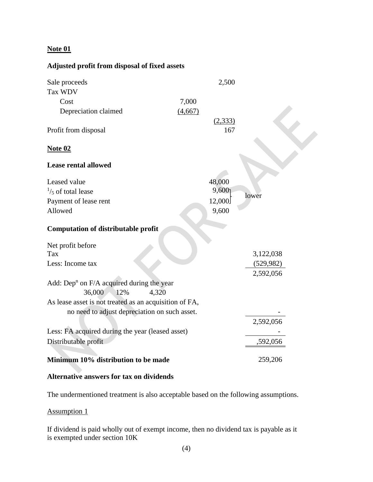## **Note 01**

# **Adjusted profit from disposal of fixed assets**

| Sale proceeds                                           |         | 2,500    |                         |
|---------------------------------------------------------|---------|----------|-------------------------|
| Tax WDV                                                 |         |          |                         |
| Cost                                                    | 7,000   |          |                         |
| Depreciation claimed                                    | (4,667) |          |                         |
|                                                         |         | (2, 333) |                         |
| Profit from disposal                                    |         | 167      |                         |
| <b>Note 02</b>                                          |         |          |                         |
| <b>Lease rental allowed</b>                             |         |          |                         |
| Leased value                                            |         | 48,000   |                         |
| $\frac{1}{5}$ of total lease                            |         | 9,600    |                         |
| Payment of lease rent                                   |         | 12,000   | lower                   |
| Allowed                                                 |         | 9,600    |                         |
|                                                         |         |          |                         |
| <b>Computation of distributable profit</b>              |         |          |                         |
|                                                         |         |          |                         |
| Net profit before<br>Tax                                |         |          |                         |
| Less: Income tax                                        |         |          | 3,122,038<br>(529, 982) |
|                                                         |         |          | 2,592,056               |
| Add: Dep <sup>n</sup> on $F/A$ acquired during the year |         |          |                         |
| 36,000<br>4,320<br>12%                                  |         |          |                         |
| As lease asset is not treated as an acquisition of FA,  |         |          |                         |
| no need to adjust depreciation on such asset.           |         |          |                         |
|                                                         |         |          | 2,592,056               |
| Less: FA acquired during the year (leased asset)        |         |          |                         |
| Distributable profit                                    |         |          | ,592,056                |
|                                                         |         |          |                         |
| Minimum 10% distribution to be made                     |         |          | 259,206                 |
|                                                         |         |          |                         |

#### **Alternative answers for tax on dividends**

The undermentioned treatment is also acceptable based on the following assumptions.

## Assumption 1

If dividend is paid wholly out of exempt income, then no dividend tax is payable as it is exempted under section 10K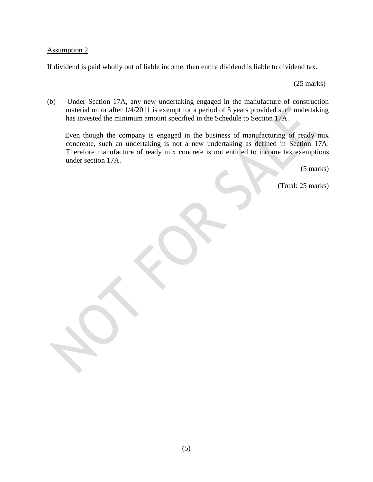#### Assumption 2

If dividend is paid wholly out of liable income, then entire dividend is liable to dividend tax.

(25 marks)

(b) Under Section 17A, any new undertaking engaged in the manufacture of construction material on or after 1/4/2011 is exempt for a period of 5 years provided such undertaking has invested the minimum amount specified in the Schedule to Section 17A.

 Even though the company is engaged in the business of manufacturing of ready mix concreate, such an undertaking is not a new undertaking as defined in Section 17A. Therefore manufacture of ready mix concrete is not entitled to income tax exemptions under section 17A.

(5 marks)

(Total: 25 marks)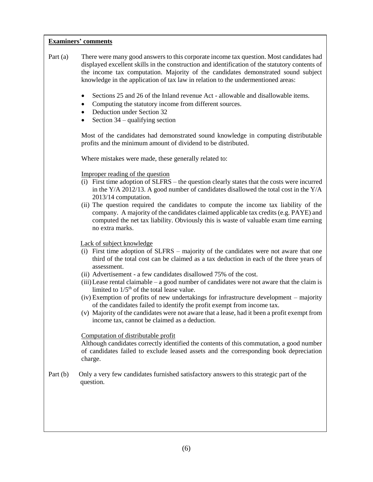- Part (a) There were many good answers to this corporate income tax question. Most candidates had displayed excellent skills in the construction and identification of the statutory contents of the income tax computation. Majority of the candidates demonstrated sound subject knowledge in the application of tax law in relation to the undermentioned areas:
	- Sections 25 and 26 of the Inland revenue Act allowable and disallowable items.
	- Computing the statutory income from different sources.
	- Deduction under Section 32
	- Section 34 qualifying section

Most of the candidates had demonstrated sound knowledge in computing distributable profits and the minimum amount of dividend to be distributed.

Where mistakes were made, these generally related to:

Improper reading of the question

- (i) First time adoption of SLFRS the question clearly states that the costs were incurred in the  $Y/A$  2012/13. A good number of candidates disallowed the total cost in the  $Y/A$ 2013/14 computation.
- (ii) The question required the candidates to compute the income tax liability of the company. A majority of the candidates claimed applicable tax credits (e.g. PAYE) and computed the net tax liability. Obviously this is waste of valuable exam time earning no extra marks.

Lack of subject knowledge

- (i) First time adoption of SLFRS majority of the candidates were not aware that one third of the total cost can be claimed as a tax deduction in each of the three years of assessment.
- (ii) Advertisement a few candidates disallowed 75% of the cost.
- $(iii)$  Lease rental claimable a good number of candidates were not aware that the claim is limited to  $1/5<sup>th</sup>$  of the total lease value.
- (iv) Exemption of profits of new undertakings for infrastructure development majority of the candidates failed to identify the profit exempt from income tax.
- (v) Majority of the candidates were not aware that a lease, had it been a profit exempt from income tax, cannot be claimed as a deduction.

Computation of distributable profit

Although candidates correctly identified the contents of this commutation, a good number of candidates failed to exclude leased assets and the corresponding book depreciation charge.

Part (b) Only a very few candidates furnished satisfactory answers to this strategic part of the question.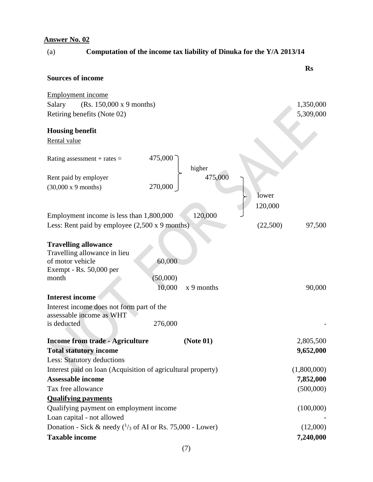|  | (a) | Computation of the income tax liability of Dinuka for the Y/A 2013/14 |
|--|-----|-----------------------------------------------------------------------|
|--|-----|-----------------------------------------------------------------------|

|                                                                                                            |                      |          | <b>Rs</b>   |
|------------------------------------------------------------------------------------------------------------|----------------------|----------|-------------|
| <b>Sources of income</b>                                                                                   |                      |          |             |
| <b>Employment income</b>                                                                                   |                      |          |             |
| (Rs. 150,000 x 9 months)<br>Salary                                                                         |                      |          | 1,350,000   |
| Retiring benefits (Note 02)                                                                                |                      |          | 5,309,000   |
| <b>Housing benefit</b>                                                                                     |                      |          |             |
| Rental value                                                                                               |                      |          |             |
| Rating assessment + rates $=$                                                                              | 475,000<br>higher    |          |             |
| Rent paid by employer                                                                                      | 475,000              |          |             |
| $(30,000 \times 9 \text{ months})$                                                                         | 270,000              |          |             |
|                                                                                                            |                      | lower    |             |
|                                                                                                            |                      | 120,000  |             |
| Employment income is less than 1,800,000                                                                   | 120,000              |          |             |
| Less: Rent paid by employee $(2,500 \times 9 \text{ months})$                                              |                      | (22,500) | 97,500      |
|                                                                                                            |                      |          |             |
| <b>Travelling allowance</b><br>Travelling allowance in lieu<br>of motor vehicle<br>Exempt - Rs. 50,000 per | 60,000               |          |             |
| month                                                                                                      | (50,000)             |          |             |
|                                                                                                            | 10,000<br>x 9 months |          | 90,000      |
| <b>Interest income</b>                                                                                     |                      |          |             |
| Interest income does not form part of the<br>assessable income as WHT                                      |                      |          |             |
| is deducted                                                                                                | 276,000              |          |             |
| <b>Income from trade - Agriculture</b>                                                                     | (Note 01)            |          | 2,805,500   |
| <b>Total statutory income</b>                                                                              |                      |          | 9,652,000   |
| <b>Less: Statutory deductions</b>                                                                          |                      |          |             |
| Interest paid on loan (Acquisition of agricultural property)                                               |                      |          | (1,800,000) |
| <b>Assessable income</b>                                                                                   |                      |          | 7,852,000   |
| Tax free allowance                                                                                         |                      |          | (500,000)   |
| <b>Qualifying payments</b>                                                                                 |                      |          |             |
| Qualifying payment on employment income                                                                    |                      |          | (100,000)   |
| Loan capital - not allowed                                                                                 |                      |          |             |
| Donation - Sick & needy $(^{1}/_{3}$ of AI or Rs. 75,000 - Lower)                                          |                      |          | (12,000)    |
| <b>Taxable income</b>                                                                                      |                      |          | 7,240,000   |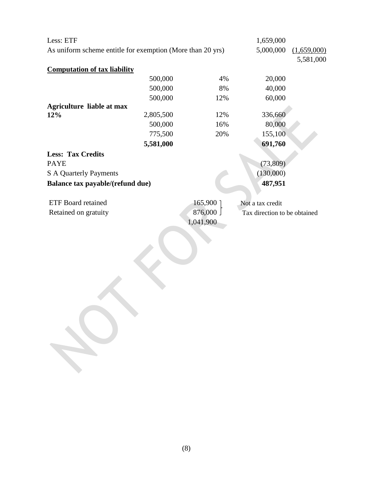| Less: ETF                                                  |           |           | 1,659,000                    |             |
|------------------------------------------------------------|-----------|-----------|------------------------------|-------------|
| As uniform scheme entitle for exemption (More than 20 yrs) |           |           | 5,000,000                    | (1,659,000) |
|                                                            |           |           |                              | 5,581,000   |
| <b>Computation of tax liability</b>                        |           |           |                              |             |
|                                                            | 500,000   | 4%        | 20,000                       |             |
|                                                            | 500,000   | 8%        | 40,000                       |             |
|                                                            | 500,000   | 12%       | 60,000                       |             |
| <b>Agriculture liable at max</b>                           |           |           |                              |             |
| 12%                                                        | 2,805,500 | 12%       | 336,660                      |             |
|                                                            | 500,000   | 16%       | 80,000                       |             |
|                                                            | 775,500   | 20%       | 155,100                      |             |
|                                                            | 5,581,000 |           | 691,760                      |             |
| <b>Less: Tax Credits</b>                                   |           |           |                              |             |
| <b>PAYE</b>                                                |           |           | (73,809)                     |             |
| <b>S A Quarterly Payments</b>                              |           |           | (130,000)                    |             |
| Balance tax payable/(refund due)                           |           |           | 487,951                      |             |
| <b>ETF Board retained</b>                                  |           | 165,900   | Not a tax credit             |             |
| Retained on gratuity                                       |           | 876,000   | Tax direction to be obtained |             |
|                                                            |           | 1,041,900 |                              |             |
|                                                            |           |           |                              |             |
|                                                            |           |           |                              |             |
|                                                            |           |           |                              |             |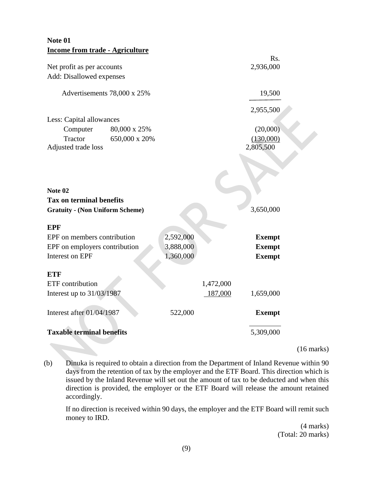| Note 01                                    |           |           |               |  |
|--------------------------------------------|-----------|-----------|---------------|--|
| <b>Income from trade - Agriculture</b>     |           |           | Rs.           |  |
| Net profit as per accounts                 |           |           | 2,936,000     |  |
| Add: Disallowed expenses                   |           |           |               |  |
| Advertisements 78,000 x 25%                |           |           | 19,500        |  |
|                                            |           |           | 2,955,500     |  |
| Less: Capital allowances                   |           |           |               |  |
| 80,000 x 25%<br>Computer                   |           |           | (20,000)      |  |
| Tractor<br>650,000 x 20%                   |           |           | (130,000)     |  |
| Adjusted trade loss                        |           |           | 2,805,500     |  |
| Note 02<br><b>Tax on terminal benefits</b> |           |           |               |  |
| <b>Gratuity - (Non Uniform Scheme)</b>     |           |           | 3,650,000     |  |
|                                            |           |           |               |  |
| <b>EPF</b>                                 |           |           |               |  |
| EPF on members contribution                | 2,592,000 |           | <b>Exempt</b> |  |
| EPF on employers contribution              | 3,888,000 |           | <b>Exempt</b> |  |
| Interest on EPF                            | 1,360,000 |           | <b>Exempt</b> |  |
| <b>ETF</b>                                 |           |           |               |  |
| ETF contribution                           |           | 1,472,000 |               |  |
| Interest up to 31/03/1987                  |           | 187,000   | 1,659,000     |  |
| Interest after 01/04/1987                  | 522,000   |           | <b>Exempt</b> |  |
| <b>Taxable terminal benefits</b>           |           |           | 5,309,000     |  |

(16 marks)

(b) Dinuka is required to obtain a direction from the Department of Inland Revenue within 90 days from the retention of tax by the employer and the ETF Board. This direction which is issued by the Inland Revenue will set out the amount of tax to be deducted and when this direction is provided, the employer or the ETF Board will release the amount retained accordingly.

 If no direction is received within 90 days, the employer and the ETF Board will remit such money to IRD.

> (4 marks) (Total: 20 marks)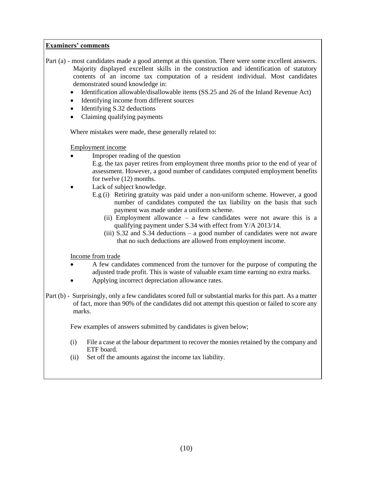- Part (a) most candidates made a good attempt at this question. There were some excellent answers. Majority displayed excellent skills in the construction and identification of statutory contents of an income tax computation of a resident individual. Most candidates demonstrated sound knowledge in:
	- Identification allowable/disallowable items (SS.25 and 26 of the Inland Revenue Act)
	- Identifying income from different sources
	- Identifying S.32 deductions
	- Claiming qualifying payments

Where mistakes were made, these generally related to:

Employment income

- Improper reading of the question
	- E.g. the tax payer retires from employment three months prior to the end of year of assessment. However, a good number of candidates computed employment benefits for twelve (12) months.
- Lack of subject knowledge.
	- E.g (i) Retiring gratuity was paid under a non-uniform scheme. However, a good number of candidates computed the tax liability on the basis that such payment was made under a uniform scheme.
		- (ii) Employment allowance a few candidates were not aware this is a qualifying payment under S.34 with effect from Y/A 2013/14.
		- (iii) S.32 and S.34 deductions a good number of candidates were not aware that no such deductions are allowed from employment income.

Income from trade

- A few candidates commenced from the turnover for the purpose of computing the adjusted trade profit. This is waste of valuable exam time earning no extra marks.
- Applying incorrect depreciation allowance rates.
- Part (b) Surprisingly, only a few candidates scored full or substantial marks for this part. As a matter of fact, more than 90% of the candidates did not attempt this question or failed to score any marks.

Few examples of answers submitted by candidates is given below;

- (i) File a case at the labour department to recover the monies retained by the company and ETF board.
- (ii) Set off the amounts against the income tax liability.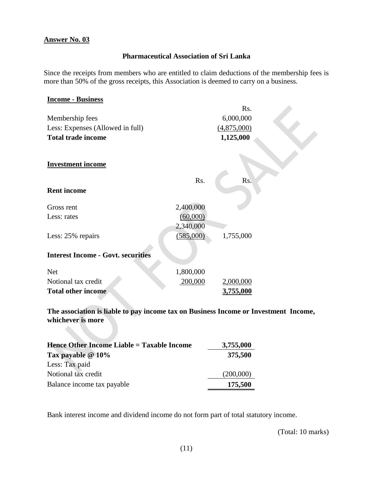## **Pharmaceutical Association of Sri Lanka**

Since the receipts from members who are entitled to claim deductions of the membership fees is more than 50% of the gross receipts, this Association is deemed to carry on a business.

| <b>Income - Business</b>                  |           |             |  |
|-------------------------------------------|-----------|-------------|--|
|                                           |           | Rs.         |  |
| Membership fees                           |           | 6,000,000   |  |
| Less: Expenses (Allowed in full)          |           | (4,875,000) |  |
| <b>Total trade income</b>                 |           | 1,125,000   |  |
| <b>Investment income</b>                  |           |             |  |
| <b>Rent income</b>                        | Rs.       | Rs.         |  |
| Gross rent                                | 2,400,000 |             |  |
| Less: rates                               | (60,000)  |             |  |
|                                           | 2,340,000 |             |  |
| Less: 25% repairs                         | (585,000) | 1,755,000   |  |
| <b>Interest Income - Govt. securities</b> |           |             |  |
| <b>Net</b>                                | 1,800,000 |             |  |
| Notional tax credit                       | 200,000   | 2,000,000   |  |
| <b>Total other income</b>                 |           | 3,755,000   |  |

**The association is liable to pay income tax on Business Income or Investment Income, whichever is more**

| Hence Other Income Liable = Taxable Income | 3,755,000 |
|--------------------------------------------|-----------|
| Tax payable $@10\%$                        | 375,500   |
| Less: Tax paid                             |           |
| Notional tax credit                        | (200,000) |
| Balance income tax payable                 | 175,500   |

Bank interest income and dividend income do not form part of total statutory income.

(Total: 10 marks)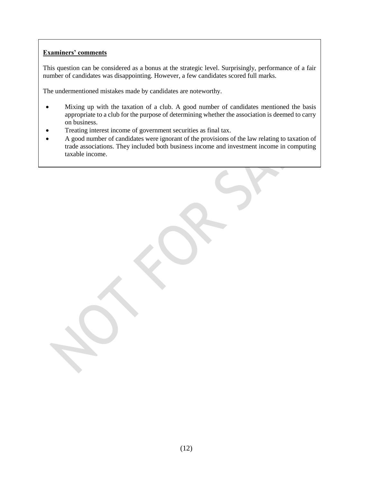This question can be considered as a bonus at the strategic level. Surprisingly, performance of a fair number of candidates was disappointing. However, a few candidates scored full marks.

The undermentioned mistakes made by candidates are noteworthy.

- Mixing up with the taxation of a club. A good number of candidates mentioned the basis appropriate to a club for the purpose of determining whether the association is deemed to carry on business.
- Treating interest income of government securities as final tax.
- A good number of candidates were ignorant of the provisions of the law relating to taxation of trade associations. They included both business income and investment income in computing taxable income.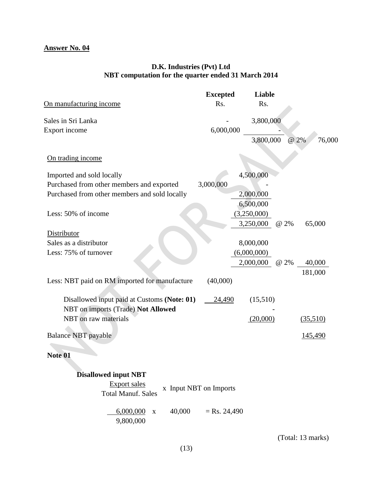## **D.K. Industries (Pvt) Ltd NBT computation for the quarter ended 31 March 2014**

| On manufacturing income                                                           | <b>Excepted</b><br>Rs. | Liable<br>Rs. |                |
|-----------------------------------------------------------------------------------|------------------------|---------------|----------------|
| Sales in Sri Lanka                                                                |                        | 3,800,000     |                |
| Export income                                                                     | 6,000,000              |               |                |
|                                                                                   |                        | 3,800,000     | 76,000<br>@ 2% |
| On trading income                                                                 |                        |               |                |
| Imported and sold locally                                                         |                        | 4,500,000     |                |
| Purchased from other members and exported                                         | 3,000,000              |               |                |
| Purchased from other members and sold locally                                     |                        | 2,000,000     |                |
|                                                                                   |                        | 6,500,000     |                |
| Less: 50% of income                                                               |                        | (3,250,000)   |                |
|                                                                                   |                        | 3,250,000     | 65,000<br>@ 2% |
| Distributor                                                                       |                        |               |                |
| Sales as a distributor                                                            |                        | 8,000,000     |                |
| Less: 75% of turnover                                                             |                        | (6,000,000)   |                |
|                                                                                   |                        | 2,000,000     | @ 2%<br>40,000 |
|                                                                                   |                        |               | 181,000        |
| Less: NBT paid on RM imported for manufacture                                     | (40,000)               |               |                |
| Disallowed input paid at Customs (Note: 01)<br>NBT on imports (Trade) Not Allowed | 24,490                 | (15,510)      |                |
| NBT on raw materials                                                              |                        | (20,000)      | (35,510)       |
| <b>Balance NBT</b> payable                                                        |                        |               | <u>145,490</u> |
| Note 01                                                                           |                        |               |                |
| <b>Disallowed input NBT</b><br><b>Export sales</b><br><b>Total Manuf. Sales</b>   | x Input NBT on Imports |               |                |
| 40,000<br>6,000,000<br>$\mathbf X$<br>9,800,000                                   | $=$ Rs. 24,490         |               |                |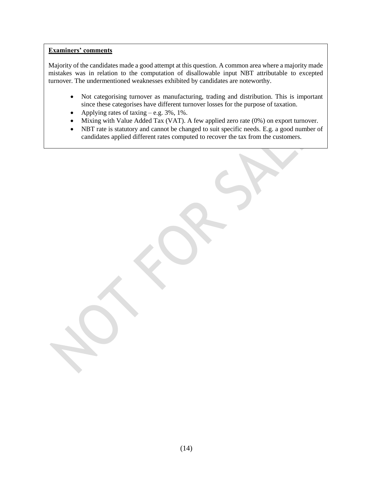Majority of the candidates made a good attempt at this question. A common area where a majority made mistakes was in relation to the computation of disallowable input NBT attributable to excepted turnover. The undermentioned weaknesses exhibited by candidates are noteworthy.

- Not categorising turnover as manufacturing, trading and distribution. This is important since these categorises have different turnover losses for the purpose of taxation.
- Applying rates of taxing e.g. 3%, 1%.
- Mixing with Value Added Tax (VAT). A few applied zero rate (0%) on export turnover.
- NBT rate is statutory and cannot be changed to suit specific needs. E.g. a good number of candidates applied different rates computed to recover the tax from the customers.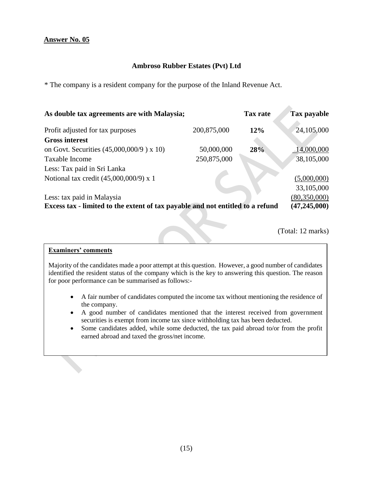## **Ambroso Rubber Estates (Pvt) Ltd**

\* The company is a resident company for the purpose of the Inland Revenue Act.

| As double tax agreements are with Malaysia;                                    |                | <b>Tax rate</b> | <b>Tax payable</b> |
|--------------------------------------------------------------------------------|----------------|-----------------|--------------------|
| Profit adjusted for tax purposes                                               | 200,875,000    | 12%             | 24,105,000         |
| <b>Gross interest</b>                                                          |                |                 |                    |
| on Govt. Securities (45,000,000/9) x 10)                                       | 50,000,000     | 28%             | $-14,000,000$      |
| Taxable Income                                                                 | 250,875,000    |                 | 38,105,000         |
| Less: Tax paid in Sri Lanka                                                    |                |                 |                    |
| Notional tax credit $(45,000,000/9)$ x 1                                       |                |                 | (5,000,000)        |
|                                                                                |                |                 | 33,105,000         |
| Less: tax paid in Malaysia                                                     |                |                 | (80,350,000)       |
| Excess tax - limited to the extent of tax payable and not entitled to a refund | (47, 245, 000) |                 |                    |

(Total: 12 marks)

#### **Examiners' comments**

Majority of the candidates made a poor attempt at this question. However, a good number of candidates identified the resident status of the company which is the key to answering this question. The reason for poor performance can be summarised as follows:-

- A fair number of candidates computed the income tax without mentioning the residence of the company.
- A good number of candidates mentioned that the interest received from government securities is exempt from income tax since withholding tax has been deducted.
- Some candidates added, while some deducted, the tax paid abroad to/or from the profit earned abroad and taxed the gross/net income.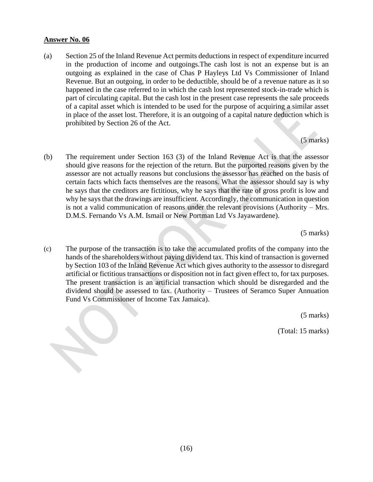(a) Section 25 of the Inland Revenue Act permits deductions in respect of expenditure incurred in the production of income and outgoings.The cash lost is not an expense but is an outgoing as explained in the case of Chas P Hayleys Ltd Vs Commissioner of Inland Revenue. But an outgoing, in order to be deductible, should be of a revenue nature as it so happened in the case referred to in which the cash lost represented stock-in-trade which is part of circulating capital. But the cash lost in the present case represents the sale proceeds of a capital asset which is intended to be used for the purpose of acquiring a similar asset in place of the asset lost. Therefore, it is an outgoing of a capital nature deduction which is prohibited by Section 26 of the Act.

(5 marks)

(b) The requirement under Section 163 (3) of the Inland Revenue Act is that the assessor should give reasons for the rejection of the return. But the purported reasons given by the assessor are not actually reasons but conclusions the assessor has reached on the basis of certain facts which facts themselves are the reasons. What the assessor should say is why he says that the creditors are fictitious, why he says that the rate of gross profit is low and why he says that the drawings are insufficient. Accordingly, the communication in question is not a valid communication of reasons under the relevant provisions (Authority – Mrs. D.M.S. Fernando Vs A.M. Ismail or New Portman Ltd Vs Jayawardene).

(5 marks)

(c) The purpose of the transaction is to take the accumulated profits of the company into the hands of the shareholders without paying dividend tax. This kind of transaction is governed by Section 103 of the Inland Revenue Act which gives authority to the assessor to disregard artificial or fictitious transactions or disposition not in fact given effect to, for tax purposes. The present transaction is an artificial transaction which should be disregarded and the dividend should be assessed to tax. (Authority – Trustees of Seramco Super Annuation Fund Vs Commissioner of Income Tax Jamaica).

(5 marks)

(Total: 15 marks)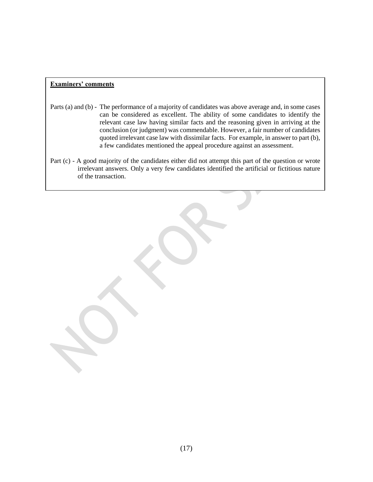- Parts (a) and (b) The performance of a majority of candidates was above average and, in some cases can be considered as excellent. The ability of some candidates to identify the relevant case law having similar facts and the reasoning given in arriving at the conclusion (or judgment) was commendable. However, a fair number of candidates quoted irrelevant case law with dissimilar facts. For example, in answer to part (b), a few candidates mentioned the appeal procedure against an assessment.
- Part (c) A good majority of the candidates either did not attempt this part of the question or wrote irrelevant answers. Only a very few candidates identified the artificial or fictitious nature of the transaction.